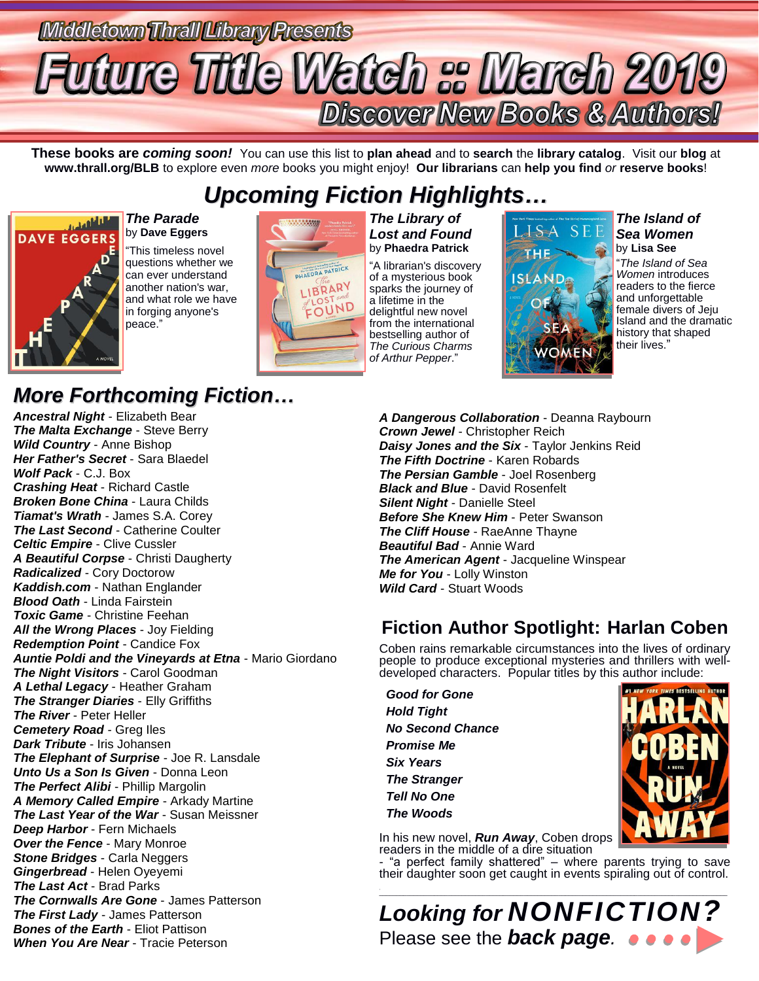# Middletown Thrall Library Presents Future Title Watch :: March 2019 **Discover New Books & Authors!**

**These books are** *coming soon!* You can use this list to **plan ahead** and to **search** the **library catalog**. Visit our **blog** at **www.thrall.org/BLB** to explore even *more* books you might enjoy! **Our librarians** can **help you find** *or* **reserve books**!

## *Upcoming Fiction Highlights…*



#### *The Parade* by **Dave Eggers**

"This timeless novel questions whether we can ever understand another nation's war, and what role we have in forging anyone's peace."



*The Library of Lost and Found* by **Phaedra Patrick** "A librarian's discovery of a mysterious book sparks the journey of a lifetime in the delightful new novel from the international bestselling author of *The Curious Charms of Arthur Pepper*."



#### *The Island of Sea Women* by **Lisa See**

"*The Island of Sea Women* introduces readers to the fierce and unforgettable female divers of Jeju Island and the dramatic history that shaped their lives."

### *More Forthcoming Fiction…*

*Ancestral Night* - Elizabeth Bear *The Malta Exchange* - Steve Berry *Wild Country* - Anne Bishop *Her Father's Secret* - Sara Blaedel *Wolf Pack* - C.J. Box *Crashing Heat* - Richard Castle *Broken Bone China* - Laura Childs *Tiamat's Wrath* - James S.A. Corey *The Last Second* - Catherine Coulter *Celtic Empire* - Clive Cussler *A Beautiful Corpse* - Christi Daugherty *Radicalized* - Cory Doctorow *Kaddish.com* - Nathan Englander *Blood Oath* - Linda Fairstein *Toxic Game* - Christine Feehan *All the Wrong Places* - Joy Fielding *Redemption Point* - Candice Fox *Auntie Poldi and the Vineyards at Etna* - Mario Giordano *The Night Visitors* - Carol Goodman *A Lethal Legacy* - Heather Graham *The Stranger Diaries* - Elly Griffiths *The River* - Peter Heller *Cemetery Road* - Greg Iles *Dark Tribute* - Iris Johansen *The Elephant of Surprise* - Joe R. Lansdale *Unto Us a Son Is Given* - Donna Leon *The Perfect Alibi* - Phillip Margolin *A Memory Called Empire* - Arkady Martine *The Last Year of the War* - Susan Meissner *Deep Harbor* - Fern Michaels *Over the Fence* - Mary Monroe *Stone Bridges* - Carla Neggers *Gingerbread* - Helen Oyeyemi *The Last Act* - Brad Parks *The Cornwalls Are Gone* - James Patterson *The First Lady* - James Patterson *Bones of the Earth* - Eliot Pattison *When You Are Near* - Tracie Peterson

*A Dangerous Collaboration* - Deanna Raybourn *Crown Jewel* - Christopher Reich *Daisy Jones and the Six* - Taylor Jenkins Reid *The Fifth Doctrine* - Karen Robards *The Persian Gamble* - Joel Rosenberg *Black and Blue* - David Rosenfelt *Silent Night* - Danielle Steel *Before She Knew Him* - Peter Swanson *The Cliff House* - RaeAnne Thayne *Beautiful Bad* - Annie Ward *The American Agent* - Jacqueline Winspear *Me for You* - Lolly Winston *Wild Card* - Stuart Woods

### **Fiction Author Spotlight: Harlan Coben**

Coben rains remarkable circumstances into the lives of ordinary people to produce exceptional mysteries and thrillers with welldeveloped characters. Popular titles by this author include:

 *Good for Gone Hold Tight No Second Chance Promise Me Six Years The Stranger Tell No One The Woods*



In his new novel, *Run Away*, Coben drops readers in the middle of a dire situation

- "a perfect family shattered" – where parents trying to save their daughter soon get caught in events spiraling out of control.

 $\mathcal{L}_\text{max}$  , and the set of the set of the set of the set of the set of the set of the set of the set of the set of the set of the set of the set of the set of the set of the set of the set of the set of the set of the *Looking for NONFICTION?* Please see the *back page.*